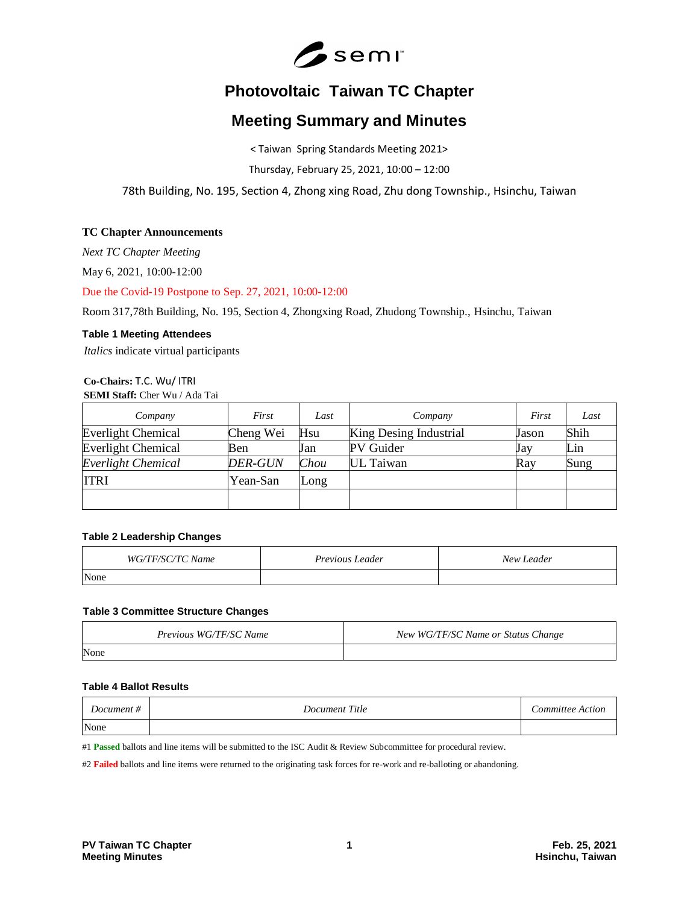

# **Photovoltaic Taiwan TC Chapter**

# **Meeting Summary and Minutes**

< Taiwan Spring Standards Meeting 2021>

Thursday, February 25, 2021, 10:00 – 12:00

78th Building, No. 195, Section 4, Zhong xing Road, Zhu dong Township., Hsinchu, Taiwan

# **TC Chapter Announcements**

*Next TC Chapter Meeting*

May 6, 2021, 10:00-12:00

Due the Covid-19 Postpone to Sep. 27, 2021, 10:00-12:00

Room 317,78th Building, No. 195, Section 4, Zhongxing Road, Zhudong Township., Hsinchu, Taiwan

### **Table 1 Meeting Attendees**

*Italics* indicate virtual participants

# **Co-Chairs:** T.C. Wu/ ITRI **SEMI Staff:** Cher Wu / Ada Tai

| Company                   | First          | Last | Company                | First | Last |
|---------------------------|----------------|------|------------------------|-------|------|
| <b>Everlight Chemical</b> | Cheng Wei      | Hsu  | King Desing Industrial | Jason | Shih |
| <b>Everlight Chemical</b> | Ben            | Jan  | PV Guider              | Jay   | Lin  |
| Everlight Chemical        | <b>DER-GUN</b> | Chou | UL Taiwan              | Ray   | Sung |
| <b>ITRI</b>               | Yean-San       | Long |                        |       |      |
|                           |                |      |                        |       |      |

# **Table 2 Leadership Changes**

| WG/TF/SC/TC Name | <i>Previous Leader</i> | New Leader |
|------------------|------------------------|------------|
| None             |                        |            |

#### **Table 3 Committee Structure Changes**

| Previous WG/TF/SC Name | New WG/TF/SC Name or Status Change |
|------------------------|------------------------------------|
| None                   |                                    |

#### **Table 4 Ballot Results**

| Document # | Document Title | <i>Committee Action</i> |
|------------|----------------|-------------------------|
| None       |                |                         |

#1 **Passed** ballots and line items will be submitted to the ISC Audit & Review Subcommittee for procedural review.

#2 **Failed** ballots and line items were returned to the originating task forces for re-work and re-balloting or abandoning.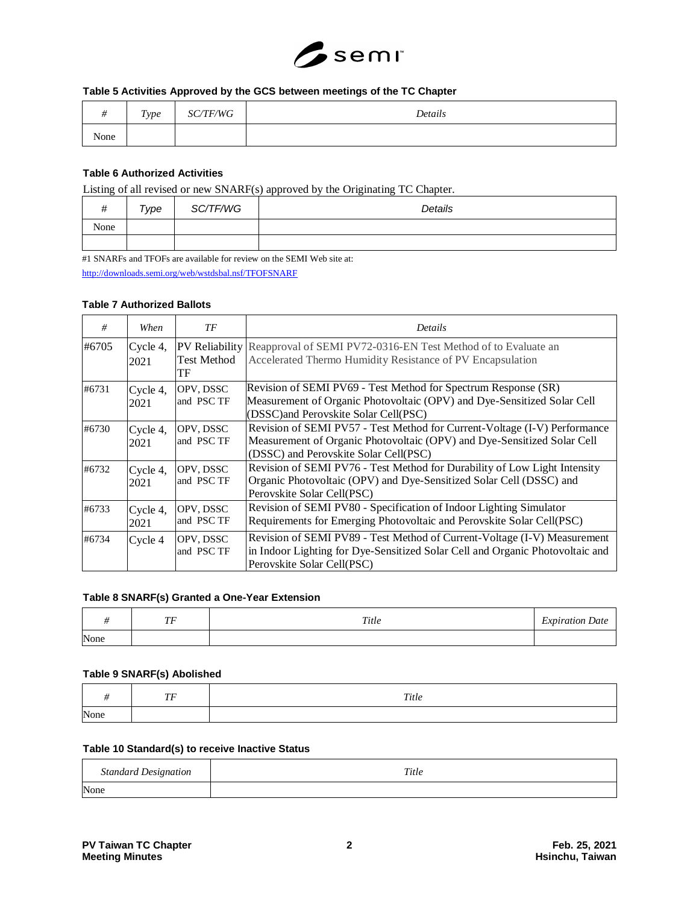

# **Table 5 Activities Approved by the GCS between meetings of the TC Chapter**

|      | Type | /TF/WG<br>SC | Details |
|------|------|--------------|---------|
| None |      |              |         |

# **Table 6 Authorized Activities**

Listing of all revised or new SNARF(s) approved by the Originating TC Chapter.

| . .<br>$\cdot$<br>π | Type | SC/TF/WG | --<br>Details |
|---------------------|------|----------|---------------|
| None                |      |          |               |
|                     |      |          |               |

#1 SNARFs and TFOFs are available for review on the SEMI Web site at: <http://downloads.semi.org/web/wstdsbal.nsf/TFOFSNARF>

#### **Table 7 Authorized Ballots**

| #     | When             | ТF                       | Details                                                                                                                                                                                       |
|-------|------------------|--------------------------|-----------------------------------------------------------------------------------------------------------------------------------------------------------------------------------------------|
| #6705 | Cycle 4,<br>2021 | <b>Test Method</b><br>TF | <b>PV Reliability</b> Reapproval of SEMI PV72-0316-EN Test Method of to Evaluate an<br>Accelerated Thermo Humidity Resistance of PV Encapsulation                                             |
| #6731 | Cycle 4,<br>2021 | OPV, DSSC<br>and PSC TF  | Revision of SEMI PV69 - Test Method for Spectrum Response (SR)<br>Measurement of Organic Photovoltaic (OPV) and Dye-Sensitized Solar Cell<br>(DSSC) and Perovskite Solar Cell(PSC)            |
| #6730 | Cycle 4,<br>2021 | OPV, DSSC<br>and PSC TF  | Revision of SEMI PV57 - Test Method for Current-Voltage (I-V) Performance<br>Measurement of Organic Photovoltaic (OPV) and Dye-Sensitized Solar Cell<br>(DSSC) and Perovskite Solar Cell(PSC) |
| #6732 | Cycle 4,<br>2021 | OPV, DSSC<br>and PSC TF  | Revision of SEMI PV76 - Test Method for Durability of Low Light Intensity<br>Organic Photovoltaic (OPV) and Dye-Sensitized Solar Cell (DSSC) and<br>Perovskite Solar Cell(PSC)                |
| #6733 | Cycle 4,<br>2021 | OPV, DSSC<br>and PSC TF  | Revision of SEMI PV80 - Specification of Indoor Lighting Simulator<br>Requirements for Emerging Photovoltaic and Perovskite Solar Cell(PSC)                                                   |
| #6734 | Cycle 4          | OPV, DSSC<br>and PSC TF  | Revision of SEMI PV89 - Test Method of Current-Voltage (I-V) Measurement<br>in Indoor Lighting for Dye-Sensitized Solar Cell and Organic Photovoltaic and<br>Perovskite Solar Cell(PSC)       |

### **Table 8 SNARF(s) Granted a One-Year Extension**

|      | ŦЕ<br>. . | Title | $\sim$<br><i>Expiration Date</i> |
|------|-----------|-------|----------------------------------|
| None |           |       |                                  |

#### **Table 9 SNARF(s) Abolished**

|      | $\overline{a}$<br>. . | Title |
|------|-----------------------|-------|
| None |                       |       |

#### **Table 10 Standard(s) to receive Inactive Status**

| <b>Standard Designation</b> | Title |
|-----------------------------|-------|
| None                        |       |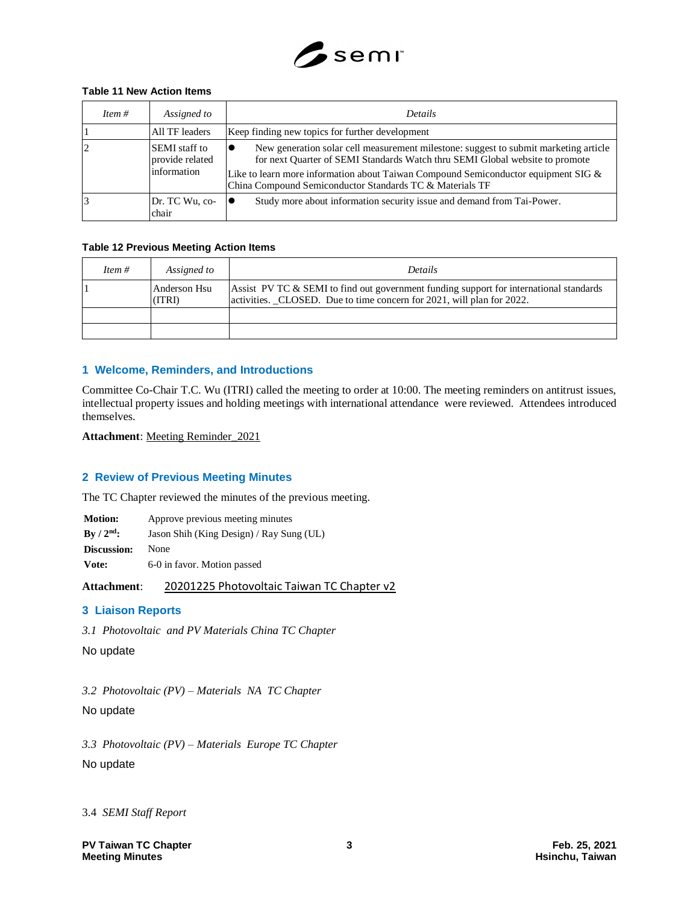

# **Table 11 New Action Items**

| Item $#$ | Assigned to                                             | <b>Details</b>                                                                                                                                                                                                                                                                                                         |
|----------|---------------------------------------------------------|------------------------------------------------------------------------------------------------------------------------------------------------------------------------------------------------------------------------------------------------------------------------------------------------------------------------|
|          | All TF leaders                                          | Keep finding new topics for further development                                                                                                                                                                                                                                                                        |
|          | <b>SEMI</b> staff to<br>provide related<br>linformation | New generation solar cell measurement milestone: suggest to submit marketing article<br>for next Quarter of SEMI Standards Watch thru SEMI Global website to promote<br>Like to learn more information about Taiwan Compound Semiconductor equipment SIG &<br>China Compound Semiconductor Standards TC & Materials TF |
|          | Dr. TC Wu, co-<br>chair                                 | Study more about information security issue and demand from Tai-Power.                                                                                                                                                                                                                                                 |

### **Table 12 Previous Meeting Action Items**

| Item $#$ | Assigned to            | <b>Details</b>                                                                                                                                                  |
|----------|------------------------|-----------------------------------------------------------------------------------------------------------------------------------------------------------------|
|          | Anderson Hsu<br>(ITRI) | Assist PV TC & SEMI to find out government funding support for international standards<br>activities. CLOSED. Due to time concern for 2021, will plan for 2022. |
|          |                        |                                                                                                                                                                 |
|          |                        |                                                                                                                                                                 |

# **1 Welcome, Reminders, and Introductions**

Committee Co-Chair T.C. Wu (ITRI) called the meeting to order at 10:00. The meeting reminders on antitrust issues, intellectual property issues and holding meetings with international attendance were reviewed. Attendees introduced themselves.

**Attachment**: Meeting Reminder\_2021

# **2 Review of Previous Meeting Minutes**

The TC Chapter reviewed the minutes of the previous meeting.

| <b>Motion:</b> | Approve previous meeting minutes         |
|----------------|------------------------------------------|
| By $/ 2nd$ :   | Jason Shih (King Design) / Ray Sung (UL) |
| Discussion:    | None                                     |
| Vote:          | 6-0 in favor. Motion passed              |

**Attachment**: 20201225 Photovoltaic Taiwan TC Chapter v2

# **3 Liaison Reports**

*3.1 Photovoltaic and PV Materials China TC Chapter*

No update

*3.2 Photovoltaic (PV) – Materials NA TC Chapter* No update

*3.3 Photovoltaic (PV) – Materials Europe TC Chapter* No update

3.4 *SEMI Staff Report*

**PV Taiwan TC Chapter 3 Feb. 25, 2021 Meeting Minutes**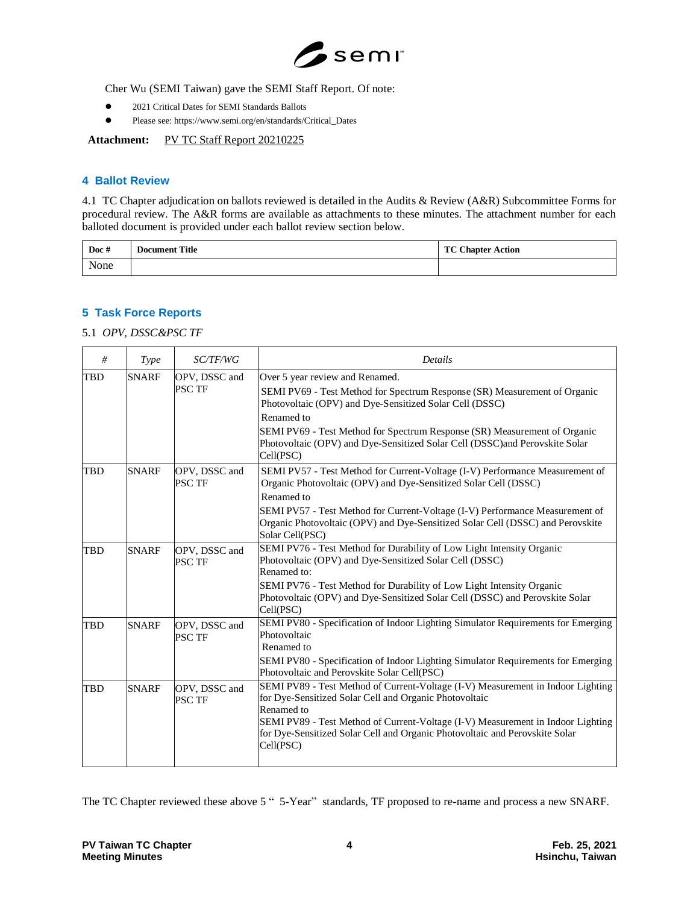

Cher Wu (SEMI Taiwan) gave the SEMI Staff Report. Of note:

- 2021 Critical Dates for SEMI Standards Ballots
- Please see: https://www.semi.org/en/standards/Critical\_Dates

Attachment: PV TC Staff Report 20210225

#### **4 Ballot Review**

4.1 TC Chapter adjudication on ballots reviewed is detailed in the Audits & Review (A&R) Subcommittee Forms for procedural review. The A&R forms are available as attachments to these minutes. The attachment number for each balloted document is provided under each ballot review section below.

| Doc $#$ | <b>Document Title</b> | <b>TC Chapter Action</b> |
|---------|-----------------------|--------------------------|
| None    |                       |                          |

# **5 Task Force Reports**

5.1 *OPV, DSSC&PSC TF*

| #          | Type         | SC/TF/WG                       | <b>Details</b>                                                                                                                                                                                                                                                                                                                                                 |
|------------|--------------|--------------------------------|----------------------------------------------------------------------------------------------------------------------------------------------------------------------------------------------------------------------------------------------------------------------------------------------------------------------------------------------------------------|
| TBD        | <b>SNARF</b> | OPV, DSSC and<br><b>PSC TF</b> | Over 5 year review and Renamed.<br>SEMI PV69 - Test Method for Spectrum Response (SR) Measurement of Organic<br>Photovoltaic (OPV) and Dye-Sensitized Solar Cell (DSSC)<br>Renamed to<br>SEMI PV69 - Test Method for Spectrum Response (SR) Measurement of Organic<br>Photovoltaic (OPV) and Dye-Sensitized Solar Cell (DSSC)and Perovskite Solar<br>Cell(PSC) |
| TBD        | <b>SNARF</b> | OPV, DSSC and<br>PSC TF        | SEMI PV57 - Test Method for Current-Voltage (I-V) Performance Measurement of<br>Organic Photovoltaic (OPV) and Dye-Sensitized Solar Cell (DSSC)<br>Renamed to<br>SEMI PV57 - Test Method for Current-Voltage (I-V) Performance Measurement of<br>Organic Photovoltaic (OPV) and Dye-Sensitized Solar Cell (DSSC) and Perovskite<br>Solar Cell(PSC)             |
| TBD        | <b>SNARF</b> | OPV, DSSC and<br>PSC TF        | SEMI PV76 - Test Method for Durability of Low Light Intensity Organic<br>Photovoltaic (OPV) and Dye-Sensitized Solar Cell (DSSC)<br>Renamed to:<br>SEMI PV76 - Test Method for Durability of Low Light Intensity Organic<br>Photovoltaic (OPV) and Dye-Sensitized Solar Cell (DSSC) and Perovskite Solar<br>Cell(PSC)                                          |
| <b>TBD</b> | <b>SNARF</b> | OPV, DSSC and<br><b>PSC TF</b> | SEMI PV80 - Specification of Indoor Lighting Simulator Requirements for Emerging<br>Photovoltaic<br>Renamed to<br>SEMI PV80 - Specification of Indoor Lighting Simulator Requirements for Emerging<br>Photovoltaic and Perovskite Solar Cell(PSC)                                                                                                              |
| TBD        | <b>SNARF</b> | OPV, DSSC and<br><b>PSC TF</b> | SEMI PV89 - Test Method of Current-Voltage (I-V) Measurement in Indoor Lighting<br>for Dye-Sensitized Solar Cell and Organic Photovoltaic<br>Renamed to<br>SEMI PV89 - Test Method of Current-Voltage (I-V) Measurement in Indoor Lighting<br>for Dye-Sensitized Solar Cell and Organic Photovoltaic and Perovskite Solar<br>Cell(PSC)                         |

The TC Chapter reviewed these above 5 " 5-Year" standards, TF proposed to re-name and process a new SNARF.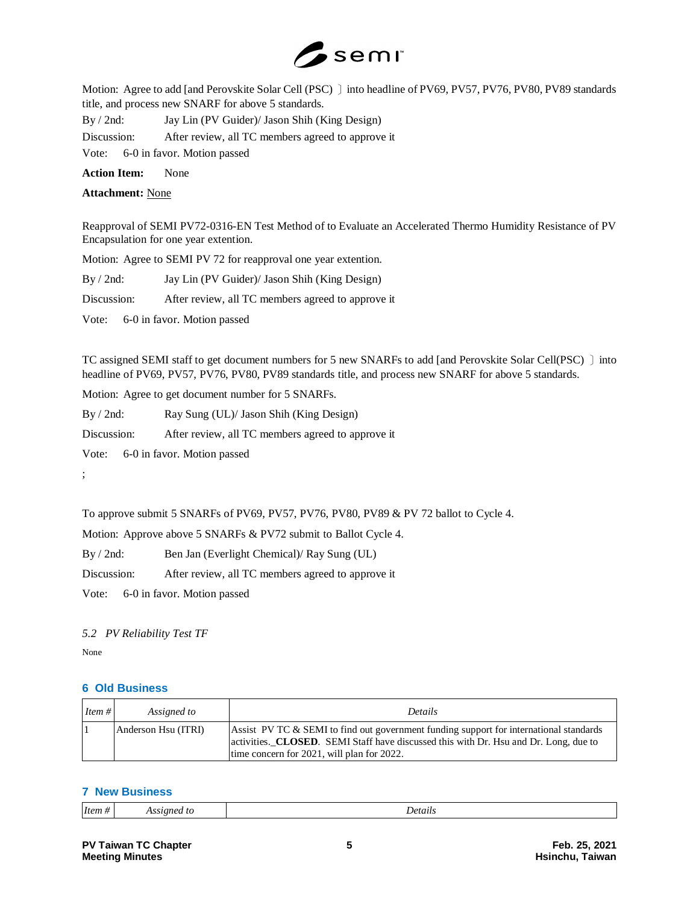

Motion: Agree to add [and Perovskite Solar Cell (PSC) ] into headline of PV69, PV57, PV76, PV80, PV89 standards title, and process new SNARF for above 5 standards.

By / 2nd: Jay Lin (PV Guider)/ Jason Shih (King Design) Discussion: After review, all TC members agreed to approve it Vote: 6-0 in favor. Motion passed

**Action Item:** None

**Attachment:** None

Reapproval of SEMI PV72-0316-EN Test Method of to Evaluate an Accelerated Thermo Humidity Resistance of PV Encapsulation for one year extention.

Motion: Agree to SEMI PV 72 for reapproval one year extention.

By / 2nd: Jay Lin (PV Guider)/ Jason Shih (King Design)

Discussion: After review, all TC members agreed to approve it

Vote: 6-0 in favor. Motion passed

TC assigned SEMI staff to get document numbers for 5 new SNARFs to add [and Perovskite Solar Cell(PSC) 〕into headline of PV69, PV57, PV76, PV80, PV89 standards title, and process new SNARF for above 5 standards.

Motion: Agree to get document number for 5 SNARFs.

By / 2nd: Ray Sung (UL)/ Jason Shih (King Design)

Discussion: After review, all TC members agreed to approve it

Vote: 6-0 in favor. Motion passed

;

To approve submit 5 SNARFs of PV69, PV57, PV76, PV80, PV89 & PV 72 ballot to Cycle 4.

Motion: Approve above 5 SNARFs & PV72 submit to Ballot Cycle 4.

By / 2nd: Ben Jan (Everlight Chemical)/ Ray Sung (UL)

Discussion: After review, all TC members agreed to approve it

Vote: 6-0 in favor. Motion passed

#### *5.2 PV Reliability Test TF*

None

# **6 Old Business**

| Item $#$ | Assigned to         | <b>Details</b>                                                                                                                                                                                                               |
|----------|---------------------|------------------------------------------------------------------------------------------------------------------------------------------------------------------------------------------------------------------------------|
|          | Anderson Hsu (ITRI) | Assist PV TC & SEMI to find out government funding support for international standards<br>activities. CLOSED. SEMI Staff have discussed this with Dr. Hsu and Dr. Long, due to<br>time concern for 2021, will plan for 2022. |

#### **7 New Business**

|  | 11e | "<br>. | . IPTC<br>. |
|--|-----|--------|-------------|
|--|-----|--------|-------------|